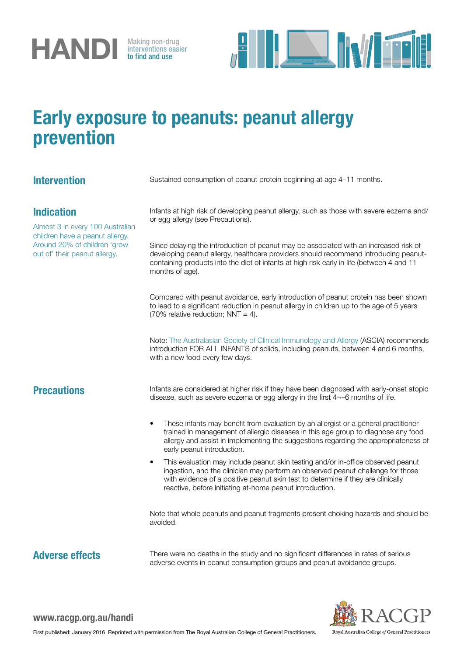

interventions easier to find and use



## Early exposure to peanuts: peanut allergy prevention

## Intervention Sustained consumption of peanut protein beginning at age 4-11 months. Indication Almost 3 in every 100 Australian children have a peanut allergy. Around 20% of children 'grow out of' their peanut allergy. Infants at high risk of developing peanut allergy, such as those with severe eczema and/ or egg allergy (see Precautions). Since delaying the introduction of peanut may be associated with an increased risk of developing peanut allergy, healthcare providers should recommend introducing peanutcontaining products into the diet of infants at high risk early in life (between 4 and 11 months of age). Compared with peanut avoidance, early introduction of peanut protein has been shown to lead to a significant reduction in peanut allergy in children up to the age of 5 years (70% relative reduction;  $NNT = 4$ ). Note: [The Australasian Society of Clinical Immunology and Allergy](http://www.allergy.org.au/patients/allergy-prevention) (ASCIA) recommends introduction FOR ALL INFANTS of solids, including peanuts, between 4 and 6 months, with a new food every few days. **Precautions** Infants are considered at higher risk if they have been diagnosed with early-onset atopic disease, such as severe eczema or egg allergy in the first 4¬–6 months of life. These infants may benefit from evaluation by an allergist or a general practitioner trained in management of allergic diseases in this age group to diagnose any food allergy and assist in implementing the suggestions regarding the appropriateness of early peanut introduction. This evaluation may include peanut skin testing and/or in-office observed peanut ingestion, and the clinician may perform an observed peanut challenge for those with evidence of a positive peanut skin test to determine if they are clinically reactive, before initiating at-home peanut introduction. Note that whole peanuts and peanut fragments present choking hazards and should be avoided. Adverse effects There were no deaths in the study and no significant differences in rates of serious adverse events in peanut consumption groups and peanut avoidance groups.



www.racgp.org.au/handi

First published: January 2016 Reprinted with permission from The Royal Australian College of General Practitioners.